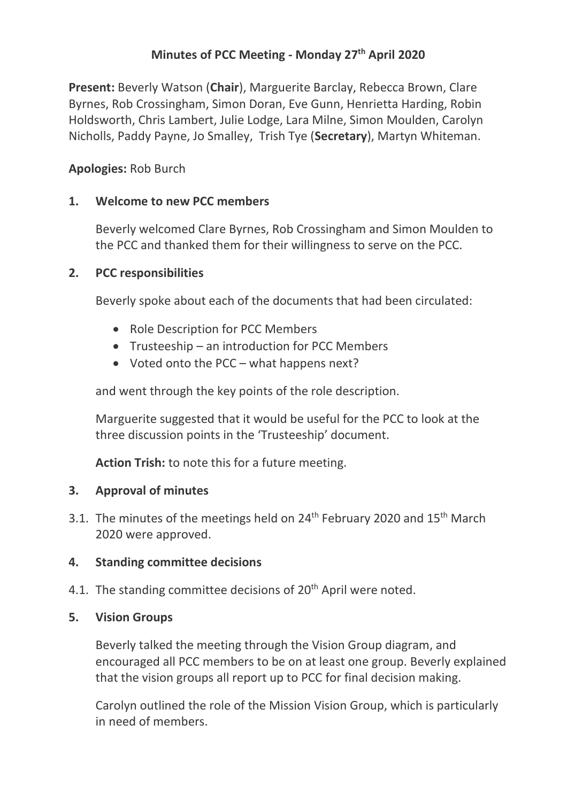# **Minutes of PCC Meeting - Monday 27th April 2020**

**Present:** Beverly Watson (**Chair**), Marguerite Barclay, Rebecca Brown, Clare Byrnes, Rob Crossingham, Simon Doran, Eve Gunn, Henrietta Harding, Robin Holdsworth, Chris Lambert, Julie Lodge, Lara Milne, Simon Moulden, Carolyn Nicholls, Paddy Payne, Jo Smalley, Trish Tye (**Secretary**), Martyn Whiteman.

### **Apologies:** Rob Burch

### **1. Welcome to new PCC members**

Beverly welcomed Clare Byrnes, Rob Crossingham and Simon Moulden to the PCC and thanked them for their willingness to serve on the PCC.

### **2. PCC responsibilities**

Beverly spoke about each of the documents that had been circulated:

- Role Description for PCC Members
- Trusteeship an introduction for PCC Members
- Voted onto the PCC what happens next?

and went through the key points of the role description.

Marguerite suggested that it would be useful for the PCC to look at the three discussion points in the 'Trusteeship' document.

**Action Trish:** to note this for a future meeting.

### **3. Approval of minutes**

3.1. The minutes of the meetings held on 24<sup>th</sup> February 2020 and 15<sup>th</sup> March 2020 were approved.

# **4. Standing committee decisions**

4.1. The standing committee decisions of  $20<sup>th</sup>$  April were noted.

### **5. Vision Groups**

Beverly talked the meeting through the Vision Group diagram, and encouraged all PCC members to be on at least one group. Beverly explained that the vision groups all report up to PCC for final decision making.

Carolyn outlined the role of the Mission Vision Group, which is particularly in need of members.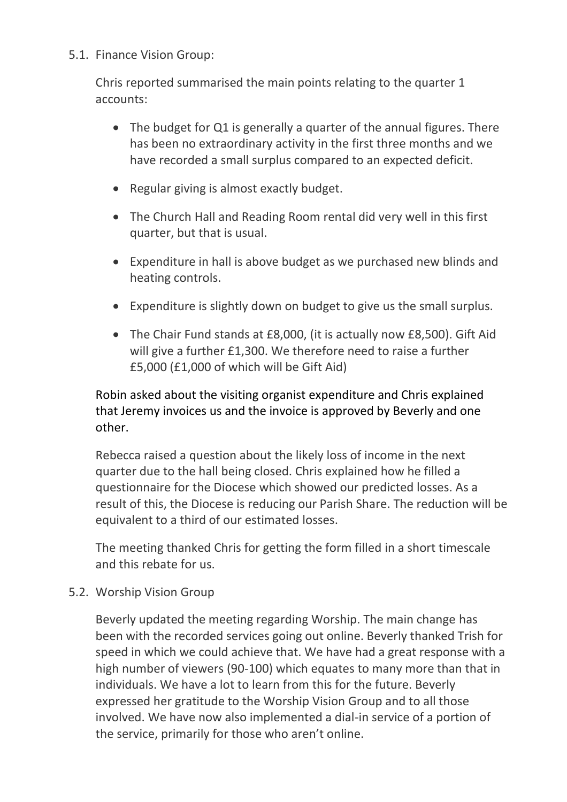### 5.1. Finance Vision Group:

Chris reported summarised the main points relating to the quarter 1 accounts:

- The budget for Q1 is generally a quarter of the annual figures. There has been no extraordinary activity in the first three months and we have recorded a small surplus compared to an expected deficit.
- Regular giving is almost exactly budget.
- The Church Hall and Reading Room rental did very well in this first quarter, but that is usual.
- Expenditure in hall is above budget as we purchased new blinds and heating controls.
- Expenditure is slightly down on budget to give us the small surplus.
- The Chair Fund stands at £8,000, (it is actually now £8,500). Gift Aid will give a further £1,300. We therefore need to raise a further £5,000 (£1,000 of which will be Gift Aid)

Robin asked about the visiting organist expenditure and Chris explained that Jeremy invoices us and the invoice is approved by Beverly and one other.

Rebecca raised a question about the likely loss of income in the next quarter due to the hall being closed. Chris explained how he filled a questionnaire for the Diocese which showed our predicted losses. As a result of this, the Diocese is reducing our Parish Share. The reduction will be equivalent to a third of our estimated losses.

The meeting thanked Chris for getting the form filled in a short timescale and this rebate for us.

5.2. Worship Vision Group

Beverly updated the meeting regarding Worship. The main change has been with the recorded services going out online. Beverly thanked Trish for speed in which we could achieve that. We have had a great response with a high number of viewers (90-100) which equates to many more than that in individuals. We have a lot to learn from this for the future. Beverly expressed her gratitude to the Worship Vision Group and to all those involved. We have now also implemented a dial-in service of a portion of the service, primarily for those who aren't online.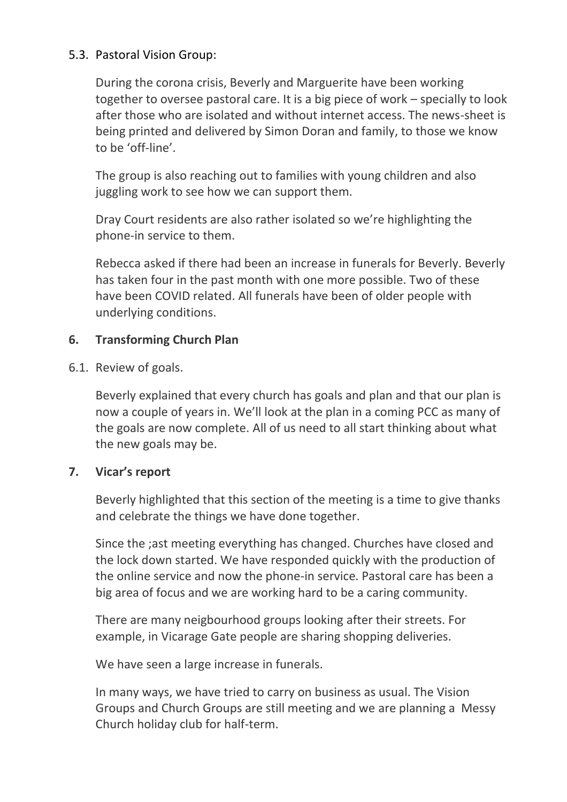### 5.3. Pastoral Vision Group:

During the corona crisis, Beverly and Marguerite have been working together to oversee pastoral care. It is a big piece of work – specially to look after those who are isolated and without internet access. The news-sheet is being printed and delivered by Simon Doran and family, to those we know to be 'off-line'.

The group is also reaching out to families with young children and also juggling work to see how we can support them.

Dray Court residents are also rather isolated so we're highlighting the phone-in service to them.

Rebecca asked if there had been an increase in funerals for Beverly. Beverly has taken four in the past month with one more possible. Two of these have been COVID related. All funerals have been of older people with underlying conditions.

# **6. Transforming Church Plan**

6.1. Review of goals.

Beverly explained that every church has goals and plan and that our plan is now a couple of years in. We'll look at the plan in a coming PCC as many of the goals are now complete. All of us need to all start thinking about what the new goals may be.

# **7. Vicar's report**

Beverly highlighted that this section of the meeting is a time to give thanks and celebrate the things we have done together.

Since the ;ast meeting everything has changed. Churches have closed and the lock down started. We have responded quickly with the production of the online service and now the phone-in service. Pastoral care has been a big area of focus and we are working hard to be a caring community.

There are many neigbourhood groups looking after their streets. For example, in Vicarage Gate people are sharing shopping deliveries.

We have seen a large increase in funerals.

In many ways, we have tried to carry on business as usual. The Vision Groups and Church Groups are still meeting and we are planning a Messy Church holiday club for half-term.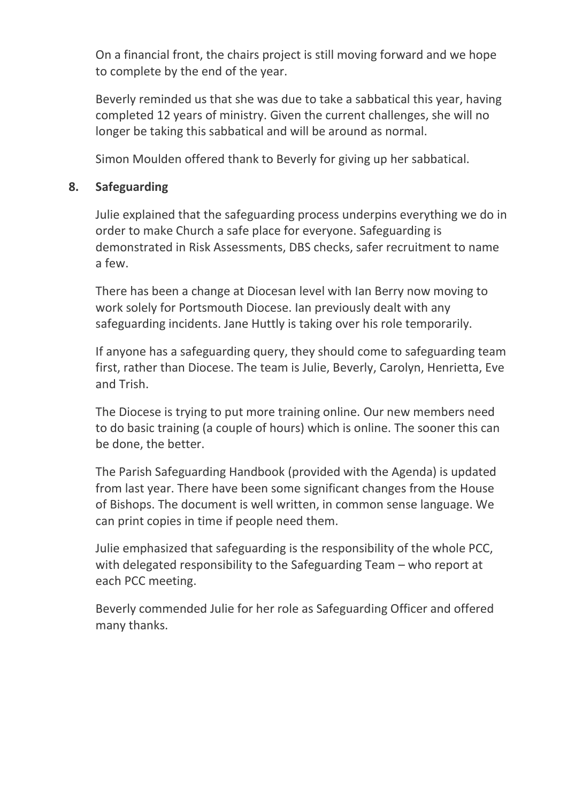On a financial front, the chairs project is still moving forward and we hope to complete by the end of the year.

Beverly reminded us that she was due to take a sabbatical this year, having completed 12 years of ministry. Given the current challenges, she will no longer be taking this sabbatical and will be around as normal.

Simon Moulden offered thank to Beverly for giving up her sabbatical.

### **8. Safeguarding**

Julie explained that the safeguarding process underpins everything we do in order to make Church a safe place for everyone. Safeguarding is demonstrated in Risk Assessments, DBS checks, safer recruitment to name a few.

There has been a change at Diocesan level with Ian Berry now moving to work solely for Portsmouth Diocese. Ian previously dealt with any safeguarding incidents. Jane Huttly is taking over his role temporarily.

If anyone has a safeguarding query, they should come to safeguarding team first, rather than Diocese. The team is Julie, Beverly, Carolyn, Henrietta, Eve and Trish.

The Diocese is trying to put more training online. Our new members need to do basic training (a couple of hours) which is online. The sooner this can be done, the better.

The Parish Safeguarding Handbook (provided with the Agenda) is updated from last year. There have been some significant changes from the House of Bishops. The document is well written, in common sense language. We can print copies in time if people need them.

Julie emphasized that safeguarding is the responsibility of the whole PCC, with delegated responsibility to the Safeguarding Team – who report at each PCC meeting.

Beverly commended Julie for her role as Safeguarding Officer and offered many thanks.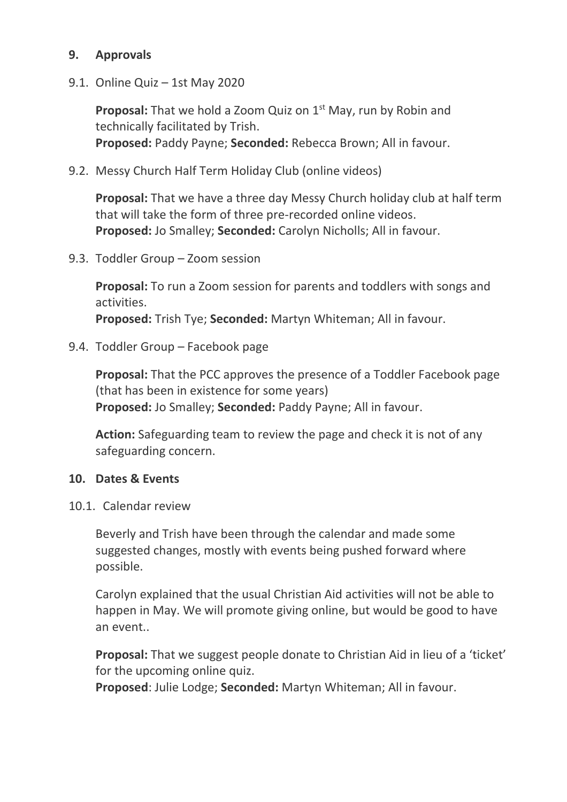### **9. Approvals**

9.1. Online Quiz – 1st May 2020

**Proposal:** That we hold a Zoom Quiz on 1<sup>st</sup> May, run by Robin and technically facilitated by Trish. **Proposed:** Paddy Payne; **Seconded:** Rebecca Brown; All in favour.

9.2. Messy Church Half Term Holiday Club (online videos)

**Proposal:** That we have a three day Messy Church holiday club at half term that will take the form of three pre-recorded online videos. **Proposed:** Jo Smalley; **Seconded:** Carolyn Nicholls; All in favour.

9.3. Toddler Group – Zoom session

**Proposal:** To run a Zoom session for parents and toddlers with songs and activities. **Proposed:** Trish Tye; **Seconded:** Martyn Whiteman; All in favour.

9.4. Toddler Group – Facebook page

**Proposal:** That the PCC approves the presence of a Toddler Facebook page (that has been in existence for some years) **Proposed:** Jo Smalley; **Seconded:** Paddy Payne; All in favour.

**Action:** Safeguarding team to review the page and check it is not of any safeguarding concern.

#### **10. Dates & Events**

10.1. Calendar review

Beverly and Trish have been through the calendar and made some suggested changes, mostly with events being pushed forward where possible.

Carolyn explained that the usual Christian Aid activities will not be able to happen in May. We will promote giving online, but would be good to have an event..

**Proposal:** That we suggest people donate to Christian Aid in lieu of a 'ticket' for the upcoming online quiz.

**Proposed**: Julie Lodge; **Seconded:** Martyn Whiteman; All in favour.